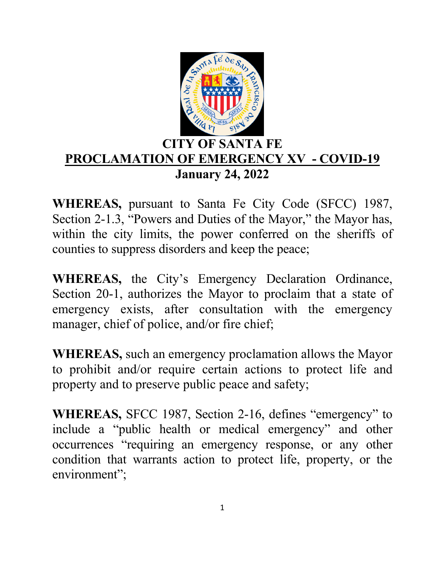

## **CITY OF SANTA FE PROCLAMATION OF EMERGENCY XV\_- COVID-19 January 24, 2022**

**WHEREAS,** pursuant to Santa Fe City Code (SFCC) 1987, Section 2-1.3, "Powers and Duties of the Mayor," the Mayor has, within the city limits, the power conferred on the sheriffs of counties to suppress disorders and keep the peace;

**WHEREAS,** the City's Emergency Declaration Ordinance, Section 20-1, authorizes the Mayor to proclaim that a state of emergency exists, after consultation with the emergency manager, chief of police, and/or fire chief;

**WHEREAS,** such an emergency proclamation allows the Mayor to prohibit and/or require certain actions to protect life and property and to preserve public peace and safety;

**WHEREAS,** SFCC 1987, Section 2-16, defines "emergency" to include a "public health or medical emergency" and other occurrences "requiring an emergency response, or any other condition that warrants action to protect life, property, or the environment";

1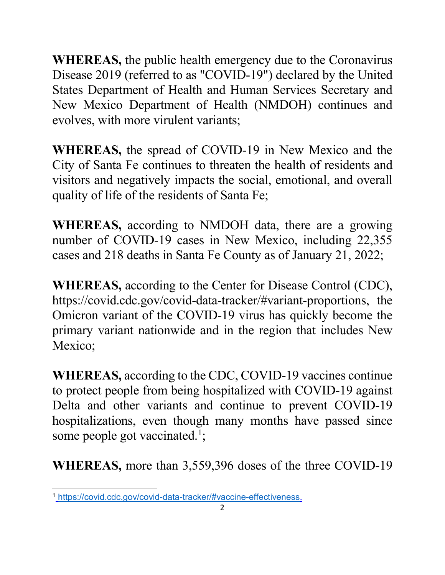**WHEREAS,** the public health emergency due to the Coronavirus Disease 2019 (referred to as "COVID-19") declared by the United States Department of Health and Human Services Secretary and New Mexico Department of Health (NMDOH) continues and evolves, with more virulent variants;

**WHEREAS,** the spread of COVID-19 in New Mexico and the City of Santa Fe continues to threaten the health of residents and visitors and negatively impacts the social, emotional, and overall quality of life of the residents of Santa Fe;

**WHEREAS,** according to NMDOH data, there are a growing number of COVID-19 cases in New Mexico, including 22,355 cases and 218 deaths in Santa Fe County as of January 21, 2022;

**WHEREAS,** according to the Center for Disease Control (CDC), https://covid.cdc.gov/covid-data-tracker/#variant-proportions, the Omicron variant of the COVID-19 virus has quickly become the primary variant nationwide and in the region that includes New Mexico;

**WHEREAS,** according to the CDC, COVID-19 vaccines continue to protect people from being hospitalized with COVID-19 against Delta and other variants and continue to prevent COVID-19 hospitalizations, even though many months have passed since some people got vaccinated.<sup>1</sup>;

**WHEREAS,** more than 3,559,396 doses of the three COVID-19

 <sup>1</sup> [https://covid.cdc.gov/covid-data-tracker/#vaccine-effectiveness.](https://covid.cdc.gov/covid-data-tracker/#vaccine-effectiveness)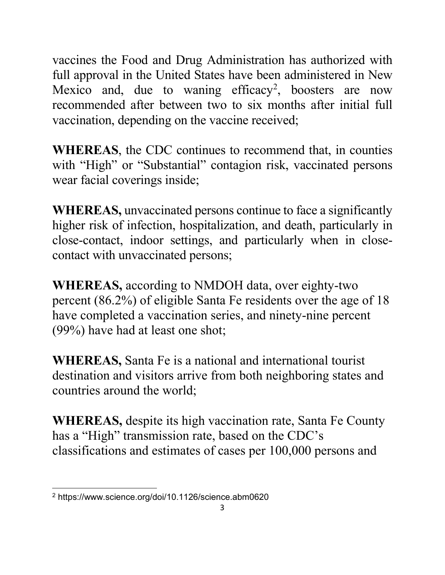vaccines the Food and Drug Administration has authorized with full approval in the United States have been administered in New Mexico and, due to waning efficacy<sup>2</sup>, boosters are now recommended after between two to six months after initial full vaccination, depending on the vaccine received;

**WHEREAS**, the CDC continues to recommend that, in counties with "High" or "Substantial" contagion risk, vaccinated persons wear facial coverings inside;

**WHEREAS,** unvaccinated persons continue to face a significantly higher risk of infection, hospitalization, and death, particularly in close-contact, indoor settings, and particularly when in closecontact with unvaccinated persons;

**WHEREAS,** according to NMDOH data, over eighty-two percent (86.2%) of eligible Santa Fe residents over the age of 18 have completed a vaccination series, and ninety-nine percent (99%) have had at least one shot;

**WHEREAS,** Santa Fe is a national and international tourist destination and visitors arrive from both neighboring states and countries around the world;

**WHEREAS,** despite its high vaccination rate, Santa Fe County has a "High" transmission rate, based on the CDC's classifications and estimates of cases per 100,000 persons and

 <sup>2</sup> https://www.science.org/doi/10.1126/science.abm0620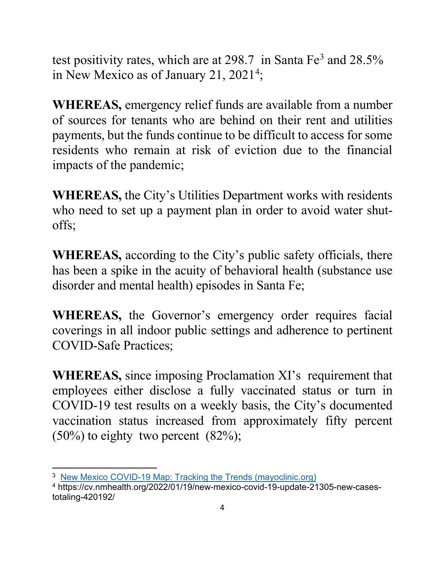test positivity rates, which are at  $298.7$  in Santa Fe<sup>3</sup> and  $28.5\%$ in New Mexico as of January 21, 2021<sup>4</sup>;

**WHEREAS,** emergency relief funds are available from a number of sources for tenants who are behind on their rent and utilities payments, but the funds continue to be difficult to access for some residents who remain at risk of eviction due to the financial impacts of the pandemic;

**WHEREAS,** the City's Utilities Department works with residents who need to set up a payment plan in order to avoid water shutoffs;

**WHEREAS,** according to the City's public safety officials, there has been a spike in the acuity of behavioral health (substance use disorder and mental health) episodes in Santa Fe;

**WHEREAS,** the Governor's emergency order requires facial coverings in all indoor public settings and adherence to pertinent COVID-Safe Practices;

**WHEREAS,** since imposing Proclamation XI's requirement that employees either disclose a fully vaccinated status or turn in COVID-19 test results on a weekly basis, the City's documented vaccination status increased from approximately fifty percent  $(50\%)$  to eighty two percent  $(82\%)$ ;

<sup>&</sup>lt;sup>3</sup> [New Mexico COVID-19 Map: Tracking the Trends \(mayoclinic.org\)](https://www.mayoclinic.org/coronavirus-covid-19/map/new-mexico)

<sup>4</sup> https://cv.nmhealth.org/2022/01/19/new-mexico-covid-19-update-21305-new-casestotaling-420192/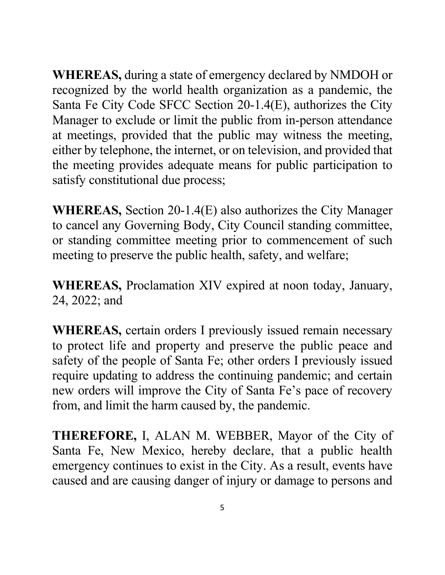**WHEREAS,** during a state of emergency declared by NMDOH or recognized by the world health organization as a pandemic, the Santa Fe City Code SFCC Section 20-1.4(E), authorizes the City Manager to exclude or limit the public from in-person attendance at meetings, provided that the public may witness the meeting, either by telephone, the internet, or on television, and provided that the meeting provides adequate means for public participation to satisfy constitutional due process;

**WHEREAS,** Section 20-1.4(E) also authorizes the City Manager to cancel any Governing Body, City Council standing committee, or standing committee meeting prior to commencement of such meeting to preserve the public health, safety, and welfare;

**WHEREAS,** Proclamation XIV expired at noon today, January, 24, 2022; and

**WHEREAS,** certain orders I previously issued remain necessary to protect life and property and preserve the public peace and safety of the people of Santa Fe; other orders I previously issued require updating to address the continuing pandemic; and certain new orders will improve the City of Santa Fe's pace of recovery from, and limit the harm caused by, the pandemic.

**THEREFORE,** I, ALAN M. WEBBER, Mayor of the City of Santa Fe, New Mexico, hereby declare, that a public health emergency continues to exist in the City. As a result, events have caused and are causing danger of injury or damage to persons and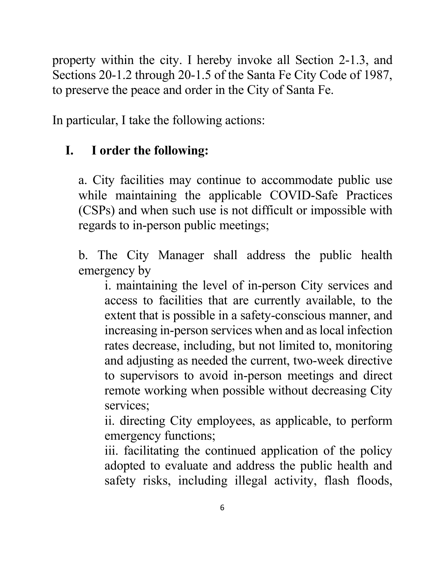property within the city. I hereby invoke all Section 2-1.3, and Sections 20-1.2 through 20-1.5 of the Santa Fe City Code of 1987, to preserve the peace and order in the City of Santa Fe.

In particular, I take the following actions:

# **I. I order the following:**

a. City facilities may continue to accommodate public use while maintaining the applicable COVID-Safe Practices (CSPs) and when such use is not difficult or impossible with regards to in-person public meetings;

b. The City Manager shall address the public health emergency by

i. maintaining the level of in-person City services and access to facilities that are currently available, to the extent that is possible in a safety-conscious manner, and increasing in-person services when and as local infection rates decrease, including, but not limited to, monitoring and adjusting as needed the current, two-week directive to supervisors to avoid in-person meetings and direct remote working when possible without decreasing City services;

ii. directing City employees, as applicable, to perform emergency functions;

iii. facilitating the continued application of the policy adopted to evaluate and address the public health and safety risks, including illegal activity, flash floods,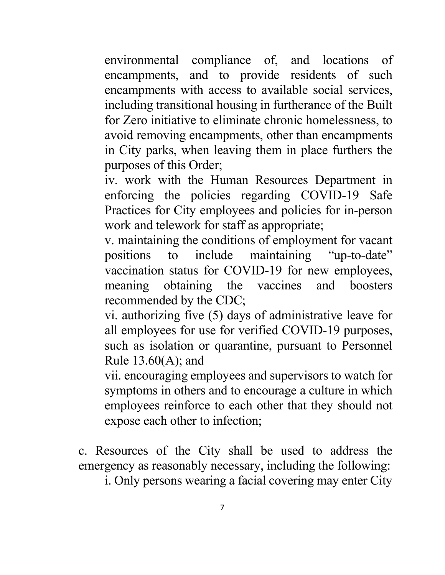environmental compliance of, and locations of encampments, and to provide residents of such encampments with access to available social services, including transitional housing in furtherance of the Built for Zero initiative to eliminate chronic homelessness, to avoid removing encampments, other than encampments in City parks, when leaving them in place furthers the purposes of this Order;

iv. work with the Human Resources Department in enforcing the policies regarding COVID-19 Safe Practices for City employees and policies for in-person work and telework for staff as appropriate;

v. maintaining the conditions of employment for vacant positions to include maintaining "up-to-date" vaccination status for COVID-19 for new employees, meaning obtaining the vaccines and boosters recommended by the CDC;

vi. authorizing five (5) days of administrative leave for all employees for use for verified COVID-19 purposes, such as isolation or quarantine, pursuant to Personnel Rule 13.60(A); and

vii. encouraging employees and supervisors to watch for symptoms in others and to encourage a culture in which employees reinforce to each other that they should not expose each other to infection;

c. Resources of the City shall be used to address the emergency as reasonably necessary, including the following:

i. Only persons wearing a facial covering may enter City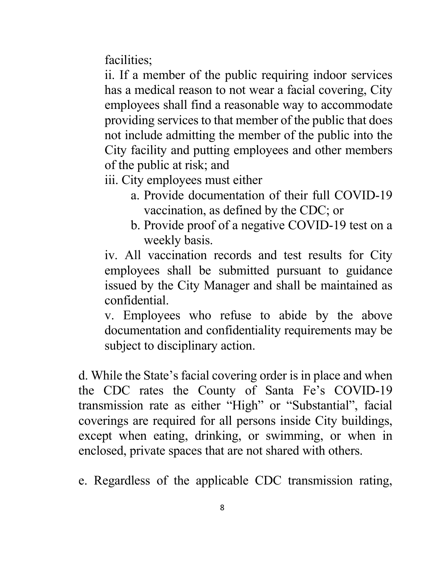facilities;

ii. If a member of the public requiring indoor services has a medical reason to not wear a facial covering, City employees shall find a reasonable way to accommodate providing services to that member of the public that does not include admitting the member of the public into the City facility and putting employees and other members of the public at risk; and

- iii. City employees must either
	- a. Provide documentation of their full COVID-19 vaccination, as defined by the CDC; or
	- b. Provide proof of a negative COVID-19 test on a weekly basis.

iv. All vaccination records and test results for City employees shall be submitted pursuant to guidance issued by the City Manager and shall be maintained as confidential.

v. Employees who refuse to abide by the above documentation and confidentiality requirements may be subject to disciplinary action.

d. While the State's facial covering order is in place and when the CDC rates the County of Santa Fe's COVID-19 transmission rate as either "High" or "Substantial", facial coverings are required for all persons inside City buildings, except when eating, drinking, or swimming, or when in enclosed, private spaces that are not shared with others.

e. Regardless of the applicable CDC transmission rating,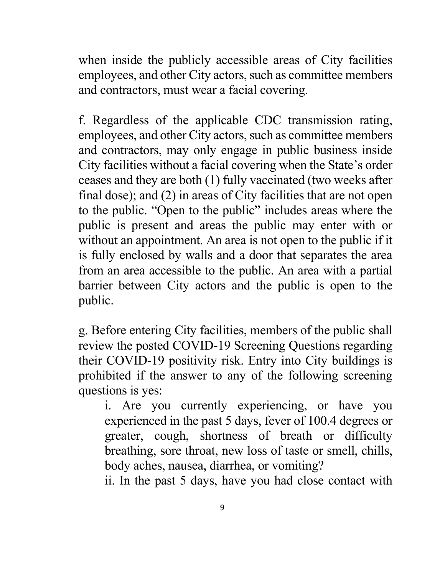when inside the publicly accessible areas of City facilities employees, and other City actors, such as committee members and contractors, must wear a facial covering.

f. Regardless of the applicable CDC transmission rating, employees, and other City actors, such as committee members and contractors, may only engage in public business inside City facilities without a facial covering when the State's order ceases and they are both (1) fully vaccinated (two weeks after final dose); and (2) in areas of City facilities that are not open to the public. "Open to the public" includes areas where the public is present and areas the public may enter with or without an appointment. An area is not open to the public if it is fully enclosed by walls and a door that separates the area from an area accessible to the public. An area with a partial barrier between City actors and the public is open to the public.

g. Before entering City facilities, members of the public shall review the posted COVID-19 Screening Questions regarding their COVID-19 positivity risk. Entry into City buildings is prohibited if the answer to any of the following screening questions is yes:

i. Are you currently experiencing, or have you experienced in the past 5 days, fever of 100.4 degrees or greater, cough, shortness of breath or difficulty breathing, sore throat, new loss of taste or smell, chills, body aches, nausea, diarrhea, or vomiting?

ii. In the past 5 days, have you had close contact with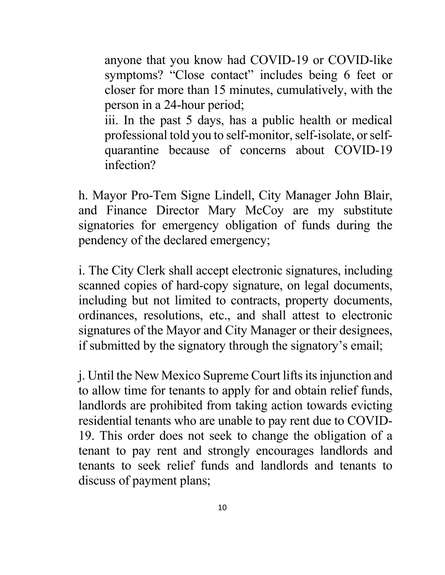anyone that you know had COVID-19 or COVID-like symptoms? "Close contact" includes being 6 feet or closer for more than 15 minutes, cumulatively, with the person in a 24-hour period;

iii. In the past 5 days, has a public health or medical professional told you to self-monitor, self-isolate, or selfquarantine because of concerns about COVID-19 infection?

h. Mayor Pro-Tem Signe Lindell, City Manager John Blair, and Finance Director Mary McCoy are my substitute signatories for emergency obligation of funds during the pendency of the declared emergency;

i. The City Clerk shall accept electronic signatures, including scanned copies of hard-copy signature, on legal documents, including but not limited to contracts, property documents, ordinances, resolutions, etc., and shall attest to electronic signatures of the Mayor and City Manager or their designees, if submitted by the signatory through the signatory's email;

j. Until the New Mexico Supreme Court lifts its injunction and to allow time for tenants to apply for and obtain relief funds, landlords are prohibited from taking action towards evicting residential tenants who are unable to pay rent due to COVID-19. This order does not seek to change the obligation of a tenant to pay rent and strongly encourages landlords and tenants to seek relief funds and landlords and tenants to discuss of payment plans;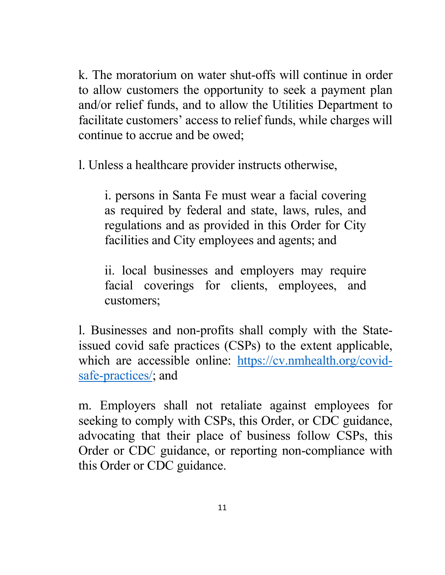k. The moratorium on water shut-offs will continue in order to allow customers the opportunity to seek a payment plan and/or relief funds, and to allow the Utilities Department to facilitate customers' access to relief funds, while charges will continue to accrue and be owed;

l. Unless a healthcare provider instructs otherwise,

i. persons in Santa Fe must wear a facial covering as required by federal and state, laws, rules, and regulations and as provided in this Order for City facilities and City employees and agents; and

ii. local businesses and employers may require facial coverings for clients, employees, and customers;

l. Businesses and non-profits shall comply with the Stateissued covid safe practices (CSPs) to the extent applicable, which are accessible online: [https://cv.nmhealth.org/covid](https://cv.nmhealth.org/covid-safe-practices/)[safe-practices/;](https://cv.nmhealth.org/covid-safe-practices/) and

m. Employers shall not retaliate against employees for seeking to comply with CSPs, this Order, or CDC guidance, advocating that their place of business follow CSPs, this Order or CDC guidance, or reporting non-compliance with this Order or CDC guidance.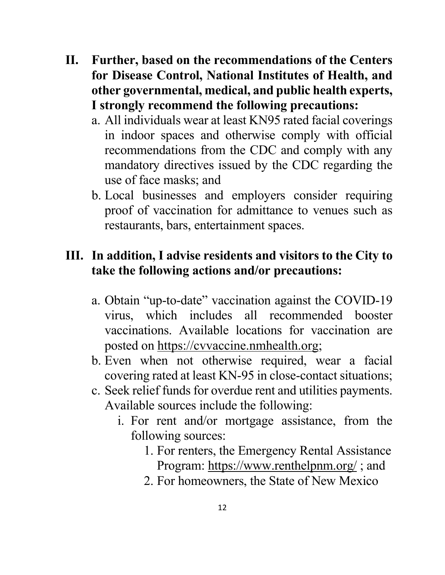- **II. Further, based on the recommendations of the Centers for Disease Control, National Institutes of Health, and other governmental, medical, and public health experts, I strongly recommend the following precautions:** 
	- a. All individuals wear at least KN95 rated facial coverings in indoor spaces and otherwise comply with official recommendations from the CDC and comply with any mandatory directives issued by the CDC regarding the use of face masks; and
	- b. Local businesses and employers consider requiring proof of vaccination for admittance to venues such as restaurants, bars, entertainment spaces.

## **III. In addition, I advise residents and visitors to the City to take the following actions and/or precautions:**

- a. Obtain "up-to-date" vaccination against the COVID-19 virus, which includes all recommended booster vaccinations. Available locations for vaccination are posted on [https://cvvaccine.nmhealth.org;](https://cvvaccine.nmhealth.org/)
- b. Even when not otherwise required, wear a facial covering rated at least KN-95 in close-contact situations;
- c. Seek relief funds for overdue rent and utilities payments. Available sources include the following:
	- i. For rent and/or mortgage assistance, from the following sources:
		- 1. For renters, the Emergency Rental Assistance Program:<https://www.renthelpnm.org/>; and
		- 2. For homeowners, the State of New Mexico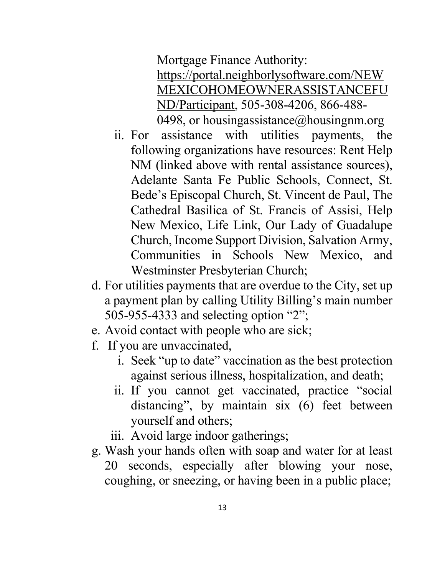Mortgage Finance Authority: [https://portal.neighborlysoftware.com/NEW](https://portal.neighborlysoftware.com/NEWMEXICOHOMEOWNERASSISTANCEFUND/Participant) [MEXICOHOMEOWNERASSISTANCEFU](https://portal.neighborlysoftware.com/NEWMEXICOHOMEOWNERASSISTANCEFUND/Participant) [ND/Participant,](https://portal.neighborlysoftware.com/NEWMEXICOHOMEOWNERASSISTANCEFUND/Participant) 505-308-4206, 866-488 0498, or [housingassistance@housingnm.org](mailto:housingassistance@housingnm.org)

- ii. For assistance with utilities payments, the following organizations have resources: Rent Help NM (linked above with rental assistance sources), Adelante Santa Fe Public Schools, Connect, St. Bede's Episcopal Church, St. Vincent de Paul, The Cathedral Basilica of St. Francis of Assisi, Help New Mexico, Life Link, Our Lady of Guadalupe Church, Income Support Division, Salvation Army, Communities in Schools New Mexico, and Westminster Presbyterian Church;
- d. For utilities payments that are overdue to the City, set up a payment plan by calling Utility Billing's main number 505-955-4333 and selecting option "2";
- e. Avoid contact with people who are sick;
- f. If you are unvaccinated,
	- i. Seek "up to date" vaccination as the best protection against serious illness, hospitalization, and death;
	- ii. If you cannot get vaccinated, practice "social distancing", by maintain six (6) feet between yourself and others;
	- iii. Avoid large indoor gatherings;
- g. Wash your hands often with soap and water for at least 20 seconds, especially after blowing your nose, coughing, or sneezing, or having been in a public place;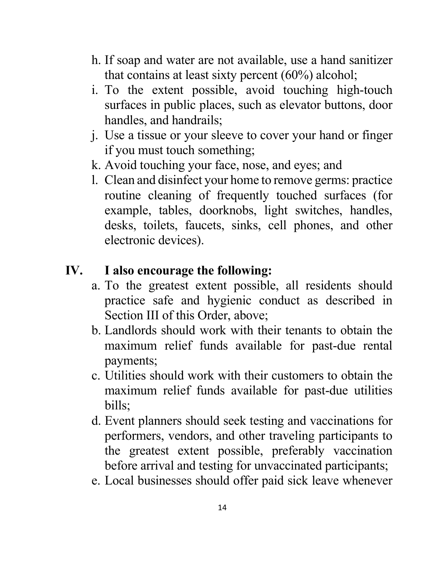- h. If soap and water are not available, use a hand sanitizer that contains at least sixty percent (60%) alcohol;
- i. To the extent possible, avoid touching high-touch surfaces in public places, such as elevator buttons, door handles, and handrails;
- j. Use a tissue or your sleeve to cover your hand or finger if you must touch something;
- k. Avoid touching your face, nose, and eyes; and
- l. Clean and disinfect your home to remove germs: practice routine cleaning of frequently touched surfaces (for example, tables, doorknobs, light switches, handles, desks, toilets, faucets, sinks, cell phones, and other electronic devices).

# **IV. I also encourage the following:**

- a. To the greatest extent possible, all residents should practice safe and hygienic conduct as described in Section III of this Order, above;
- b. Landlords should work with their tenants to obtain the maximum relief funds available for past-due rental payments;
- c. Utilities should work with their customers to obtain the maximum relief funds available for past-due utilities bills;
- d. Event planners should seek testing and vaccinations for performers, vendors, and other traveling participants to the greatest extent possible, preferably vaccination before arrival and testing for unvaccinated participants;
- e. Local businesses should offer paid sick leave whenever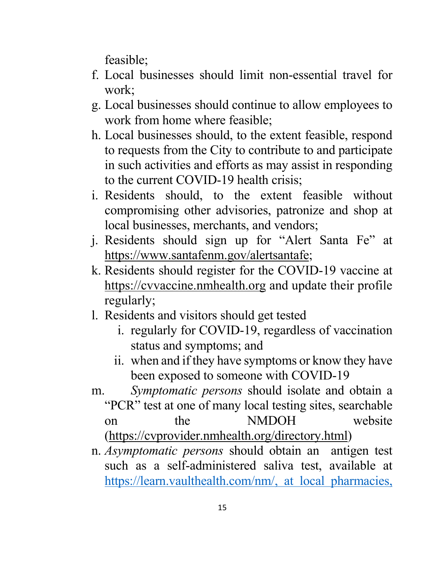feasible;

- f. Local businesses should limit non-essential travel for work;
- g. Local businesses should continue to allow employees to work from home where feasible;
- h. Local businesses should, to the extent feasible, respond to requests from the City to contribute to and participate in such activities and efforts as may assist in responding to the current COVID-19 health crisis;
- i. Residents should, to the extent feasible without compromising other advisories, patronize and shop at local businesses, merchants, and vendors;
- j. Residents should sign up for "Alert Santa Fe" at [https://www.santafenm.gov/alertsantafe;](https://www.santafenm.gov/alertsantafe)
- k. Residents should register for the COVID-19 vaccine at [https://cvvaccine.nmhealth.org](https://cvvaccine.nmhealth.org/) and update their profile regularly;
- l. Residents and visitors should get tested
	- i. regularly for COVID-19, regardless of vaccination status and symptoms; and
	- ii. when and if they have symptoms or know they have been exposed to someone with COVID-19
- m. *Symptomatic persons* should isolate and obtain a "PCR" test at one of many local testing sites, searchable on the NMDOH website [\(https://cvprovider.nmhealth.org/directory.html\)](https://cvprovider.nmhealth.org/directory.html)
- n. *Asymptomatic persons* should obtain an antigen test such as a self-administered saliva test, available at [https://learn.vaulthealth.com/nm/,](https://learn.vaulthealth.com/nm/) at local pharmacies,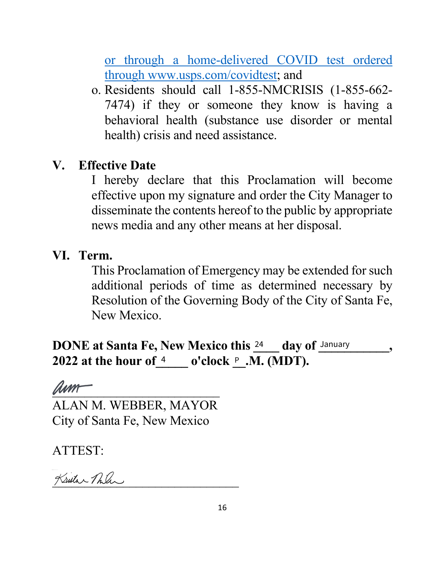or through a home-delivered COVID test ordered through www.usps.com/covidtest; and

o. Residents should call 1-855-NMCRISIS (1-855-662- 7474) if they or someone they know is having a behavioral health (substance use disorder or mental health) crisis and need assistance.

## **V. Effective Date**

I hereby declare that this Proclamation will become effective upon my signature and order the City Manager to disseminate the contents hereof to the public by appropriate news media and any other means at her disposal.

## **VI. Term.**

This Proclamation of Emergency may be extended for such additional periods of time as determined necessary by Resolution of the Governing Body of the City of Santa Fe, New Mexico.

**DONE at Santa Fe, New Mexico this**  24 day of **January** , 2022 at the hour of <u>4 \_\_\_\_</u> o'clock <u>P\_</u>.M. (MDT).

 $\mathscr{Q}\mathscr{u}\mathscr{m}$ 

ALAN M. WEBBER, MAYOR City of Santa Fe, New Mexico

ATTEST:

Kristar Pula